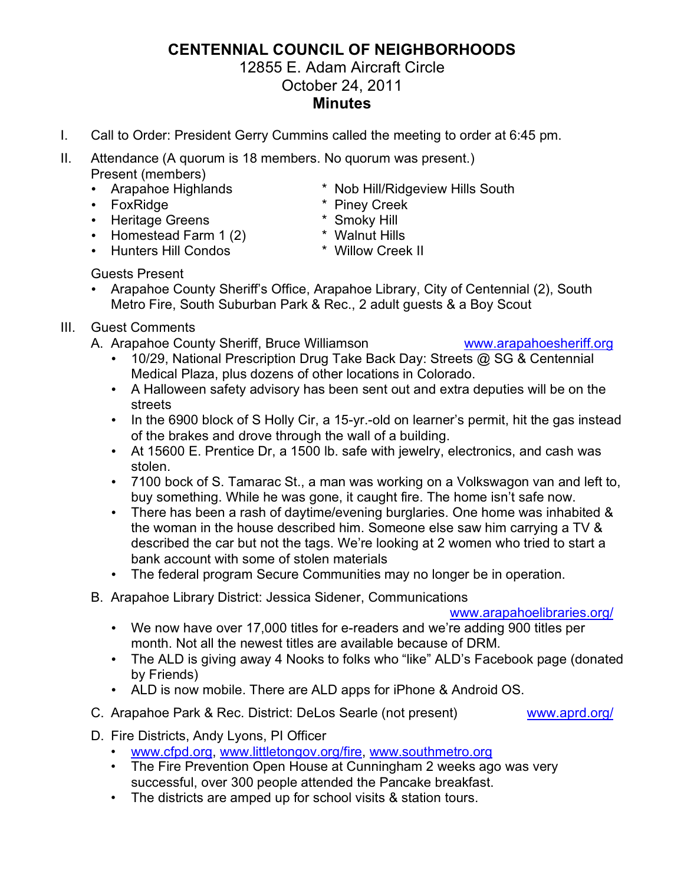## **CENTENNIAL COUNCIL OF NEIGHBORHOODS**

## 12855 E. Adam Aircraft Circle October 24, 2011

## **Minutes**

- I. Call to Order: President Gerry Cummins called the meeting to order at 6:45 pm.
- II. Attendance (A quorum is 18 members. No quorum was present.) Present (members)
	-
	-
	-
	- Heritage Greens \* Smoky Hill<br>• Homestead Farm 1 (2) \* Walnut Hills • Homestead Farm  $1(2)$
	- Hunters Hill Condos \* Willow Creek II
	- Guests Present
	- Arapahoe County Sheriff's Office, Arapahoe Library, City of Centennial (2), South Metro Fire, South Suburban Park & Rec., 2 adult guests & a Boy Scout
- III. Guest Comments
	- A. Arapahoe County Sheriff, Bruce Williamson [www.arapahoesheriff.org](http://www.arapahoesheriff.org)
		- 10/29, National Prescription Drug Take Back Day: Streets @ SG & Centennial Medical Plaza, plus dozens of other locations in Colorado.
		- A Halloween safety advisory has been sent out and extra deputies will be on the streets
		- In the 6900 block of S Holly Cir, a 15-yr.-old on learner's permit, hit the gas instead of the brakes and drove through the wall of a building.
		- At 15600 E. Prentice Dr, a 1500 lb. safe with jewelry, electronics, and cash was stolen.
		- 7100 bock of S. Tamarac St., a man was working on a Volkswagon van and left to, buy something. While he was gone, it caught fire. The home isn't safe now.
		- There has been a rash of daytime/evening burglaries. One home was inhabited & the woman in the house described him. Someone else saw him carrying a TV & described the car but not the tags. We're looking at 2 women who tried to start a bank account with some of stolen materials
		- The federal program Secure Communities may no longer be in operation.
	- B. Arapahoe Library District: Jessica Sidener, Communications

[www.arapahoelibraries.org/](http://www.arapahoelibraries.org/)

- We now have over 17,000 titles for e-readers and we're adding 900 titles per month. Not all the newest titles are available because of DRM.
- The ALD is giving away 4 Nooks to folks who "like" ALD's Facebook page (donated by Friends)
- ALD is now mobile. There are ALD apps for iPhone & Android OS.
- C. Arapahoe Park & Rec. District: DeLos Searle (not present) [www.aprd.org/](http://www.aprd.org/)

- D. Fire Districts, Andy Lyons, PI Officer
	- [www.cfpd.org,](��h t t p : / / " 	 w w w . c f p d . o r g) [www.littletongov.org/fire,](http://www.littletongov.org/fire) [www.southmetro.org](http://www.southmetro.org)
	- The Fire Prevention Open House at Cunningham 2 weeks ago was very successful, over 300 people attended the Pancake breakfast.
	- The districts are amped up for school visits & station tours.
- Arapahoe Highlands \* Nob Hill/Ridgeview Hills South
- FoxRidge  $*$  Piney Creek
	-
	-
	-
-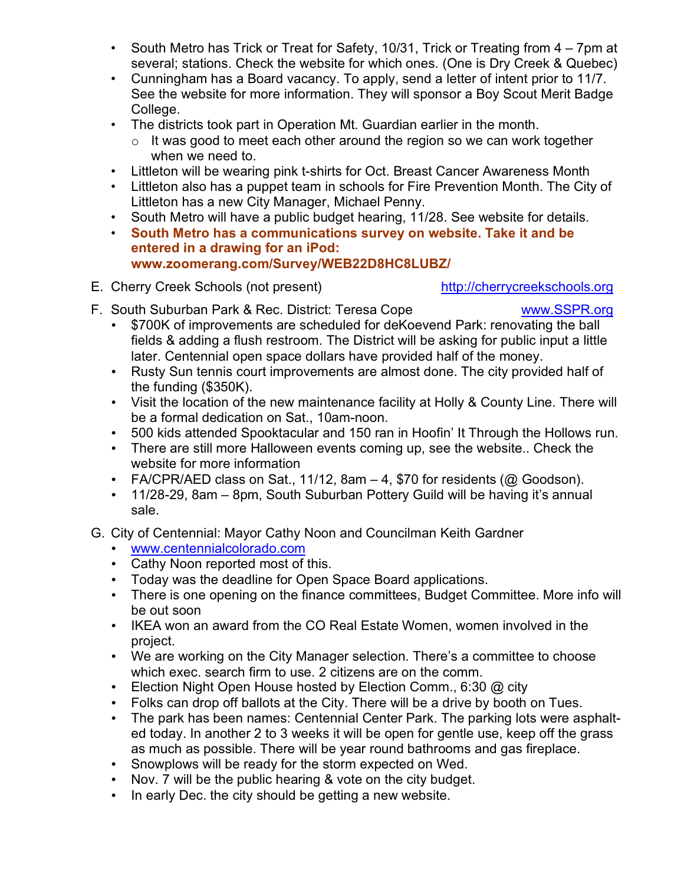- South Metro has Trick or Treat for Safety, 10/31, Trick or Treating from 4 7pm at several; stations. Check the website for which ones. (One is Dry Creek & Quebec)
- Cunningham has a Board vacancy. To apply, send a letter of intent prior to 11/7. See the website for more information. They will sponsor a Boy Scout Merit Badge College.
- The districts took part in Operation Mt. Guardian earlier in the month.
	- $\circ$  It was good to meet each other around the region so we can work together when we need to.
- Littleton will be wearing pink t-shirts for Oct. Breast Cancer Awareness Month
- Littleton also has a puppet team in schools for Fire Prevention Month. The City of Littleton has a new City Manager, Michael Penny.
- South Metro will have a public budget hearing, 11/28. See website for details.
- **South Metro has a communications survey on website. Take it and be entered in a drawing for an iPod: [www.zoomerang.com/Survey/WEB22D8HC8LUBZ/](http://www.zoomerang.com/Survey/WEB22D8HC8LUBZ/)**
- E. Cherry Creek Schools (not present) <http://cherrycreekschools.org>

- F. South Suburban Park & Rec. District: Teresa Cope [www.SSPR.org](http://www.SSPR.org)
	- \$700K of improvements are scheduled for deKoevend Park: renovating the ball fields & adding a flush restroom. The District will be asking for public input a little later. Centennial open space dollars have provided half of the money.
	- Rusty Sun tennis court improvements are almost done. The city provided half of the funding (\$350K).
	- Visit the location of the new maintenance facility at Holly & County Line. There will be a formal dedication on Sat., 10am-noon.
	- 500 kids attended Spooktacular and 150 ran in Hoofin' It Through the Hollows run.
	- There are still more Halloween events coming up, see the website.. Check the website for more information
	- FA/CPR/AED class on Sat., 11/12, 8am  $-4$ , \$70 for residents ( $@$  Goodson).
	- 11/28-29, 8am 8pm, South Suburban Pottery Guild will be having it's annual sale.
- G. City of Centennial: Mayor Cathy Noon and Councilman Keith Gardner
	- [www.centennialcolorado.com](��h t t p : / / " 	 w w w . c e n t e n n i a l c o l o r a d o . c o m)
	- Cathy Noon reported most of this.
	- Today was the deadline for Open Space Board applications.
	- There is one opening on the finance committees, Budget Committee. More info will be out soon
	- IKEA won an award from the CO Real Estate Women, women involved in the project.
	- We are working on the City Manager selection. There's a committee to choose which exec. search firm to use. 2 citizens are on the comm.
	- Election Night Open House hosted by Election Comm., 6:30 @ city
	- Folks can drop off ballots at the City. There will be a drive by booth on Tues.
	- The park has been names: Centennial Center Park. The parking lots were asphalted today. In another 2 to 3 weeks it will be open for gentle use, keep off the grass as much as possible. There will be year round bathrooms and gas fireplace.
	- Snowplows will be ready for the storm expected on Wed.
	- Nov. 7 will be the public hearing & vote on the city budget.
	- In early Dec. the city should be getting a new website.